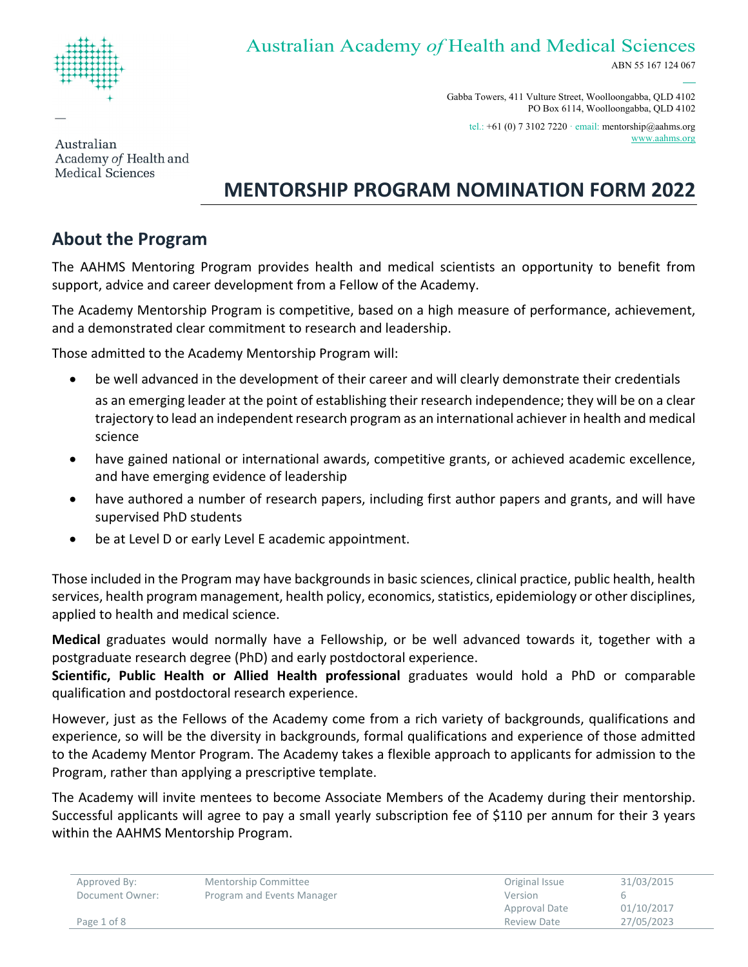

# Australian Academy *of* Health and Medical Sciences

ABN 55 167 124 067

Gabba Towers, 411 Vulture Street, Woolloongabba, QLD 4102 PO Box 6114, Woolloongabba, QLD 4102

tel.: +61 (0) 7 3102 7220 · email: [mentorship@aahms.org](mailto:mentorship@aahms.org) www.aahms.org

Australian Academy of Health and **Medical Sciences** 

# **MENTORSHIP PROGRAM NOMINATION FORM 2022**

# **About the Program**

The AAHMS Mentoring Program provides health and medical scientists an opportunity to benefit from support, advice and career development from a Fellow of the Academy.

The Academy Mentorship Program is competitive, based on a high measure of performance, achievement, and a demonstrated clear commitment to research and leadership.

Those admitted to the Academy Mentorship Program will:

- be well advanced in the development of their career and will clearly demonstrate their credentials as an emerging leader at the point of establishing their research independence; they will be on a clear trajectory to lead an independent research program as an international achiever in health and medical science
- have gained national or international awards, competitive grants, or achieved academic excellence, and have emerging evidence of leadership
- have authored a number of research papers, including first author papers and grants, and will have supervised PhD students
- be at Level D or early Level E academic appointment.

Those included in the Program may have backgrounds in basic sciences, clinical practice, public health, health services, health program management, health policy, economics, statistics, epidemiology or other disciplines, applied to health and medical science.

**Medical** graduates would normally have a Fellowship, or be well advanced towards it, together with a postgraduate research degree (PhD) and early postdoctoral experience.

**Scientific, Public Health or Allied Health professional** graduates would hold a PhD or comparable qualification and postdoctoral research experience.

However, just as the Fellows of the Academy come from a rich variety of backgrounds, qualifications and experience, so will be the diversity in backgrounds, formal qualifications and experience of those admitted to the Academy Mentor Program. The Academy takes a flexible approach to applicants for admission to the Program, rather than applying a prescriptive template.

The Academy will invite mentees to become Associate Members of the Academy during their mentorship. Successful applicants will agree to pay a small yearly subscription fee of \$110 per annum for their 3 years within the AAHMS Mentorship Program.

| Approved By:    | Mentorship Committee       | Original Issue | 31/03/2015 |
|-----------------|----------------------------|----------------|------------|
| Document Owner: | Program and Events Manager | Version        |            |
|                 |                            | Approval Date  | 01/10/2017 |
| Page 1 of 8     |                            | Review Date    | 27/05/2023 |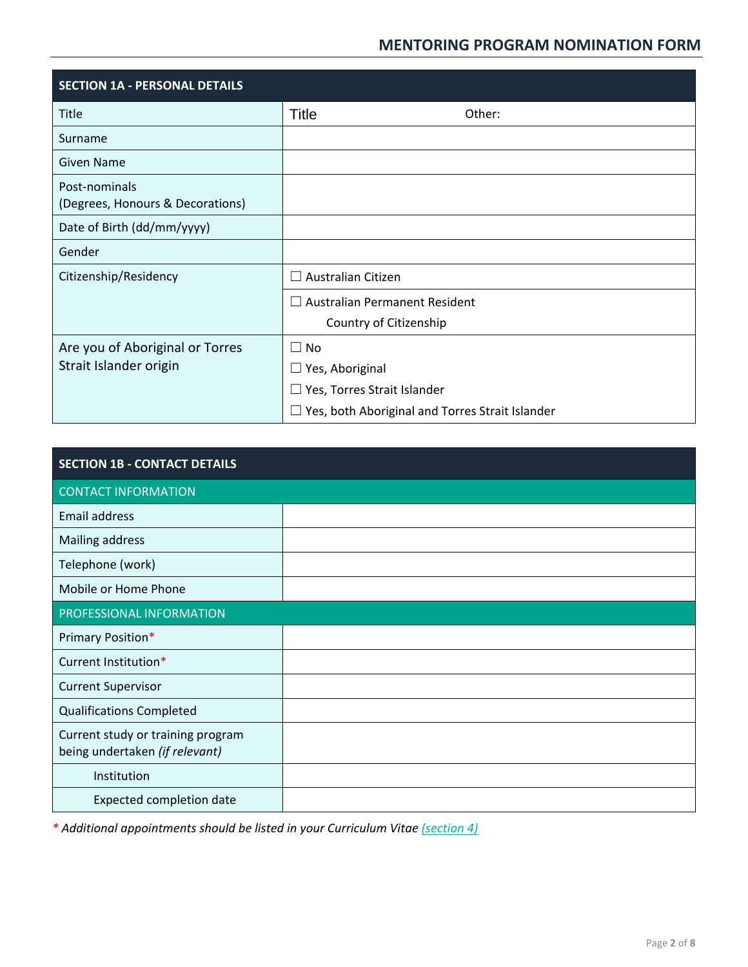| <b>SECTION 1A - PERSONAL DETAILS</b>                      |                                                                                                                                     |  |
|-----------------------------------------------------------|-------------------------------------------------------------------------------------------------------------------------------------|--|
| Title                                                     | <b>Title</b><br>Other:                                                                                                              |  |
| Surname                                                   |                                                                                                                                     |  |
| Given Name                                                |                                                                                                                                     |  |
| Post-nominals<br>(Degrees, Honours & Decorations)         |                                                                                                                                     |  |
| Date of Birth (dd/mm/yyyy)                                |                                                                                                                                     |  |
| Gender                                                    |                                                                                                                                     |  |
| Citizenship/Residency                                     | <b>Australian Citizen</b>                                                                                                           |  |
|                                                           | $\Box$ Australian Permanent Resident<br>Country of Citizenship                                                                      |  |
| Are you of Aboriginal or Torres<br>Strait Islander origin | $\Box$ No<br>$\Box$ Yes, Aboriginal<br>$\Box$ Yes, Torres Strait Islander<br>$\Box$ Yes, both Aboriginal and Torres Strait Islander |  |

| <b>SECTION 1B - CONTACT DETAILS</b>                                 |  |  |  |
|---------------------------------------------------------------------|--|--|--|
| <b>CONTACT INFORMATION</b>                                          |  |  |  |
| <b>Email address</b>                                                |  |  |  |
| Mailing address                                                     |  |  |  |
| Telephone (work)                                                    |  |  |  |
| Mobile or Home Phone                                                |  |  |  |
| PROFESSIONAL INFORMATION                                            |  |  |  |
| Primary Position*                                                   |  |  |  |
| Current Institution*                                                |  |  |  |
| <b>Current Supervisor</b>                                           |  |  |  |
| <b>Qualifications Completed</b>                                     |  |  |  |
| Current study or training program<br>being undertaken (if relevant) |  |  |  |
| Institution                                                         |  |  |  |
| Expected completion date                                            |  |  |  |

*\* Additional appointments should be listed in your Curriculum Vitae [\(section 4\)](#page-6-0)*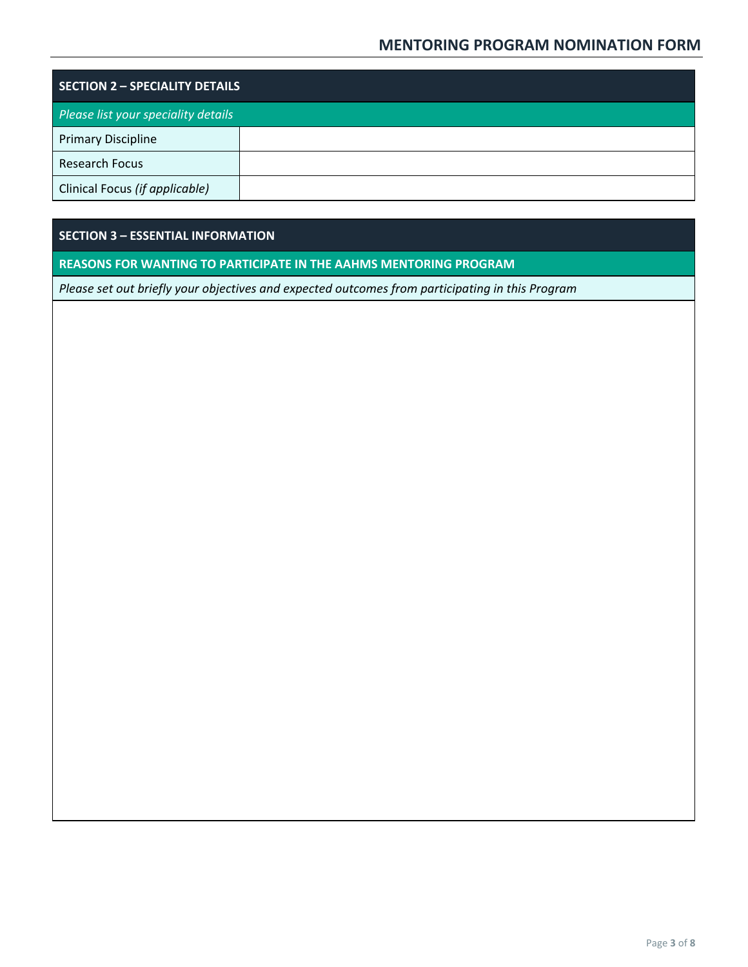| <b>SECTION 2 - SPECIALITY DETAILS</b> |  |  |  |  |
|---------------------------------------|--|--|--|--|
| Please list your speciality details   |  |  |  |  |
| <b>Primary Discipline</b>             |  |  |  |  |
| <b>Research Focus</b>                 |  |  |  |  |
| Clinical Focus (if applicable)        |  |  |  |  |

# **SECTION 3 – ESSENTIAL INFORMATION**

## **REASONS FOR WANTING TO PARTICIPATE IN THE AAHMS MENTORING PROGRAM**

*Please set out briefly your objectives and expected outcomes from participating in this Program*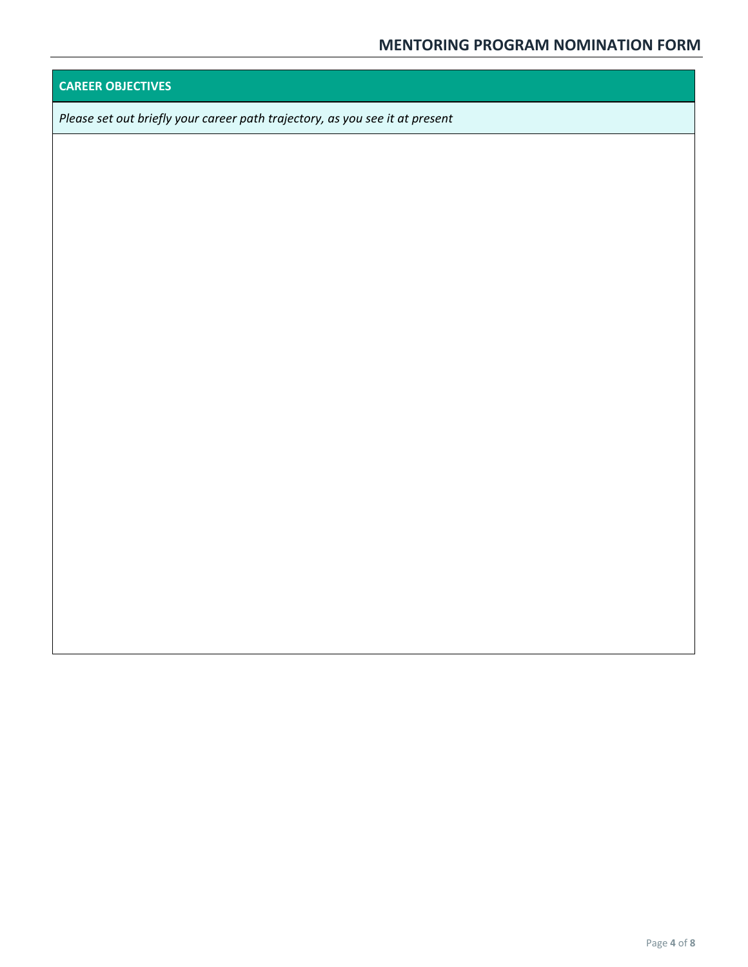# **CAREER OBJECTIVES**

*Please set out briefly your career path trajectory, as you see it at present*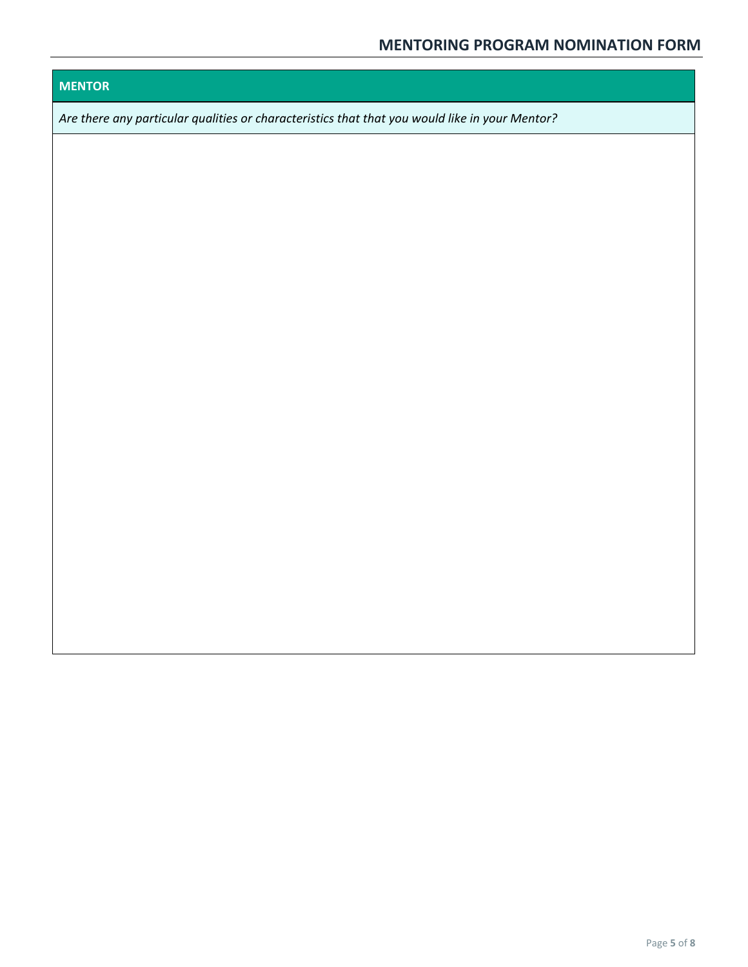# **MENTOR**

*Are there any particular qualities or characteristics that that you would like in your Mentor?*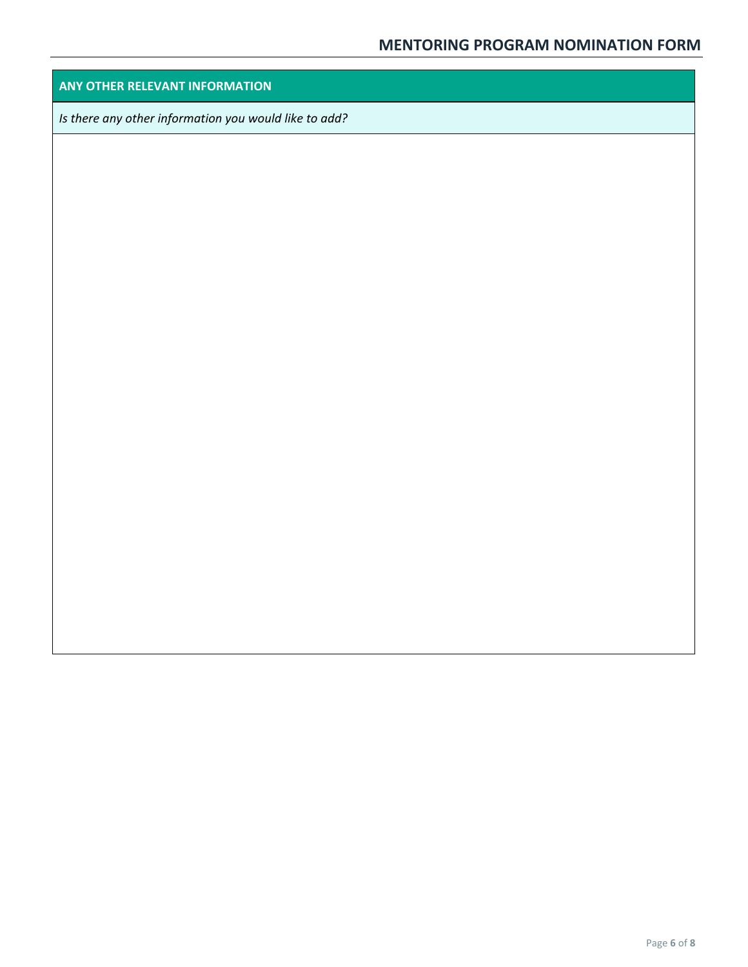## **ANY OTHER RELEVANT INFORMATION**

*Is there any other information you would like to add?*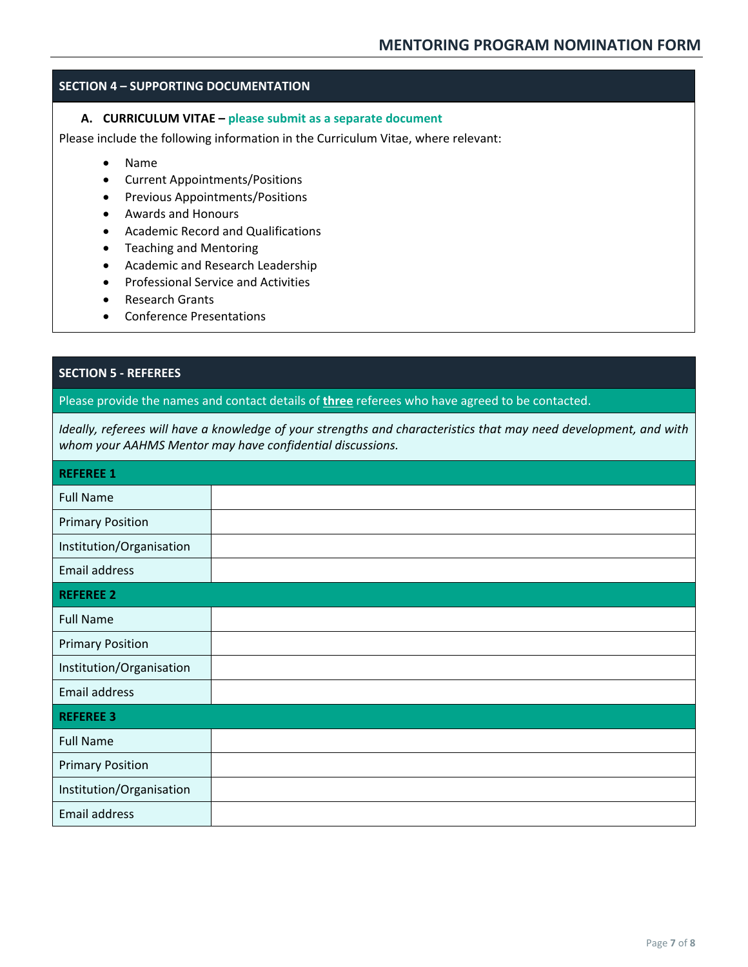#### <span id="page-6-0"></span>**SECTION 4 – SUPPORTING DOCUMENTATION**

#### **A. CURRICULUM VITAE – please submit as a separate document**

Please include the following information in the Curriculum Vitae, where relevant:

- Name
- Current Appointments/Positions
- Previous Appointments/Positions
- Awards and Honours
- Academic Record and Qualifications
- Teaching and Mentoring
- Academic and Research Leadership
- Professional Service and Activities
- Research Grants
- Conference Presentations

## **SECTION 5 - REFEREES**

Please provide the names and contact details of **three** referees who have agreed to be contacted.

*Ideally, referees will have a knowledge of your strengths and characteristics that may need development, and with whom your AAHMS Mentor may have confidential discussions.*

| <b>REFEREE 1</b>         |  |  |
|--------------------------|--|--|
| <b>Full Name</b>         |  |  |
| <b>Primary Position</b>  |  |  |
| Institution/Organisation |  |  |
| Email address            |  |  |
| <b>REFEREE 2</b>         |  |  |
| <b>Full Name</b>         |  |  |
| <b>Primary Position</b>  |  |  |
| Institution/Organisation |  |  |
| Email address            |  |  |
| <b>REFEREE 3</b>         |  |  |
| <b>Full Name</b>         |  |  |
| <b>Primary Position</b>  |  |  |
| Institution/Organisation |  |  |
| Email address            |  |  |